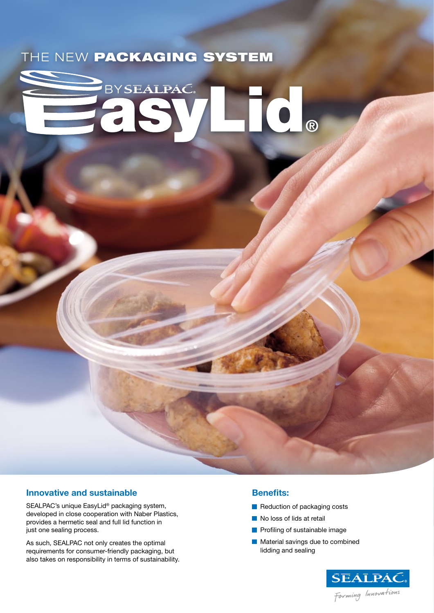# THE NEW PACKAGING SYSTEM

# BYSEALPAC. **®**

# **Innovative and sustainable**

SEALPAC's unique EasyLid® packaging system, developed in close cooperation with Naber Plastics, provides a hermetic seal and full lid function in just one sealing process.

As such, SEALPAC not only creates the optimal requirements for consumer-friendly packaging, but also takes on responsibility in terms of sustainability.

#### **Benefits:**

- Reduction of packaging costs
- No loss of lids at retail
- **Profiling of sustainable image**
- **Material savings due to combined** lidding and sealing